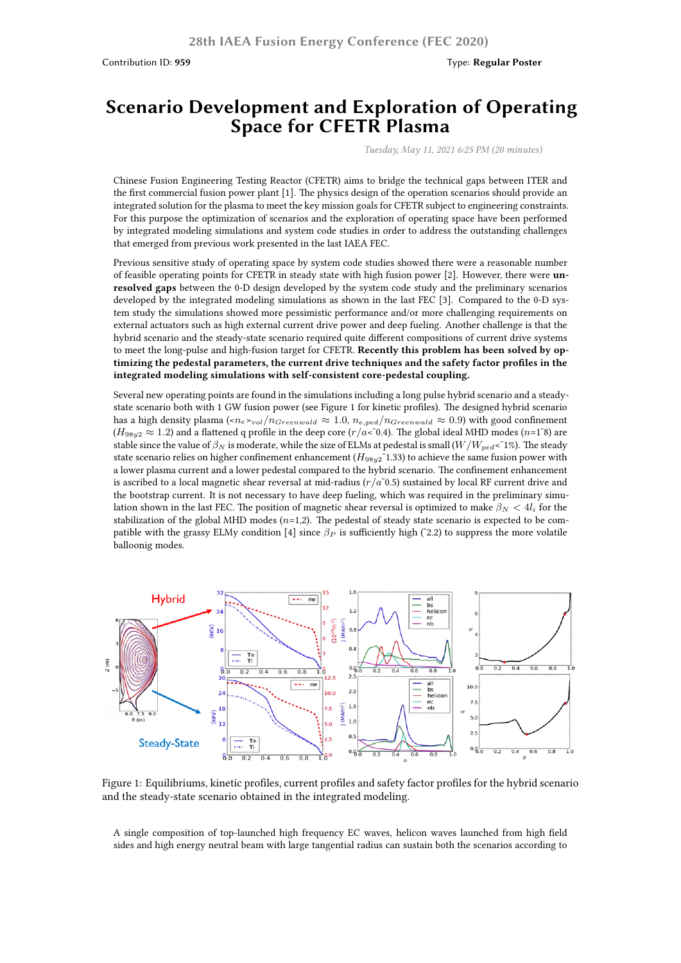## **Scenario Development and Exploration of Operating Space for CFETR Plasma**

*Tuesday, May 11, 2021 6:25 PM (20 minutes)*

Chinese Fusion Engineering Testing Reactor (CFETR) aims to bridge the technical gaps between ITER and the first commercial fusion power plant [1]. The physics design of the operation scenarios should provide an integrated solution for the plasma to meet the key mission goals for CFETR subject to engineering constraints. For this purpose the optimization of scenarios and the exploration of operating space have been performed by integrated modeling simulations and system code studies in order to address the outstanding challenges that emerged from previous work presented in the last IAEA FEC.

Previous sensitive study of operating space by system code studies showed there were a reasonable number of feasible operating points for CFETR in steady state with high fusion power [2]. However, there were **unresolved gaps** between the 0-D design developed by the system code study and the preliminary scenarios developed by the integrated modeling simulations as shown in the last FEC [3]. Compared to the 0-D system study the simulations showed more pessimistic performance and/or more challenging requirements on external actuators such as high external current drive power and deep fueling. Another challenge is that the hybrid scenario and the steady-state scenario required quite different compositions of current drive systems to meet the long-pulse and high-fusion target for CFETR. **Recently this problem has been solved by optimizing the pedestal parameters, the current drive techniques and the safety factor profiles in the integrated modeling simulations with self-consistent core-pedestal coupling.**

Several new operating points are found in the simulations including a long pulse hybrid scenario and a steadystate scenario both with 1 GW fusion power (see Figure 1 for kinetic profiles). The designed hybrid scenario has a high density plasma  $\langle \langle n_e \rangle_{vol}/n_{Greenwald} \approx 1.0$ ,  $n_{e,ped}/n_{Greenwald} \approx 0.9$ ) with good confinement  $(H_{98y2} \approx 1.2)$  and a flattened q profile in the deep core  $(r/a<sup>2</sup>0.4)$ . The global ideal MHD modes  $(n=1^8)$  are stable since the value of  $\beta_N$  is moderate, while the size of ELMs at pedestal is small  $(W/W_{ped} < 1\%)$ . The steady state scenario relies on higher confinement enhancement (*H*98*y*2˜1.33) to achieve the same fusion power with a lower plasma current and a lower pedestal compared to the hybrid scenario. The confinement enhancement is ascribed to a local magnetic shear reversal at mid-radius  $(r/a^6)$ .5) sustained by local RF current drive and the bootstrap current. It is not necessary to have deep fueling, which was required in the preliminary simulation shown in the last FEC. The position of magnetic shear reversal is optimized to make *β<sup>N</sup> <* 4*l<sup>i</sup>* for the stabilization of the global MHD modes (*n*=1,2). The pedestal of steady state scenario is expected to be compatible with the grassy ELMy condition [4] since *β<sup>P</sup>* is sufficiently high (˜2.2) to suppress the more volatile balloonig modes.



Figure 1: Equilibriums, kinetic profiles, current profiles and safety factor profiles for the hybrid scenario and the steady-state scenario obtained in the integrated modeling.

A single composition of top-launched high frequency EC waves, helicon waves launched from high field sides and high energy neutral beam with large tangential radius can sustain both the scenarios according to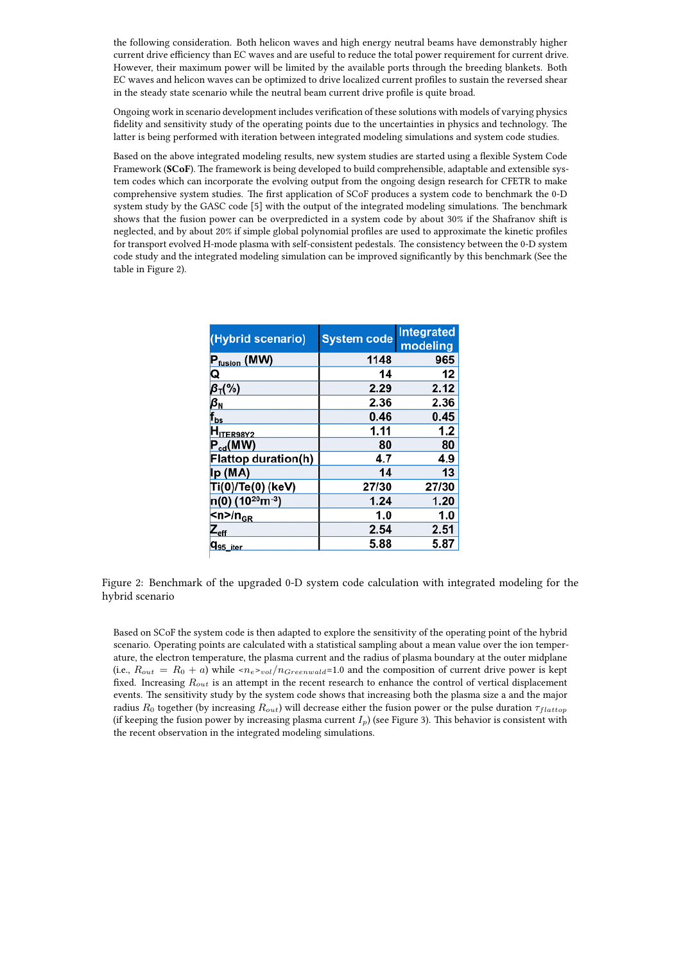the following consideration. Both helicon waves and high energy neutral beams have demonstrably higher current drive efficiency than EC waves and are useful to reduce the total power requirement for current drive. However, their maximum power will be limited by the available ports through the breeding blankets. Both EC waves and helicon waves can be optimized to drive localized current profiles to sustain the reversed shear in the steady state scenario while the neutral beam current drive profile is quite broad.

Ongoing work in scenario development includes verification of these solutions with models of varying physics fidelity and sensitivity study of the operating points due to the uncertainties in physics and technology. The latter is being performed with iteration between integrated modeling simulations and system code studies.

Based on the above integrated modeling results, new system studies are started using a flexible System Code Framework (**SCoF**). The framework is being developed to build comprehensible, adaptable and extensible system codes which can incorporate the evolving output from the ongoing design research for CFETR to make comprehensive system studies. The first application of SCoF produces a system code to benchmark the 0-D system study by the GASC code [5] with the output of the integrated modeling simulations. The benchmark shows that the fusion power can be overpredicted in a system code by about 30% if the Shafranov shift is neglected, and by about 20% if simple global polynomial profiles are used to approximate the kinetic profiles for transport evolved H-mode plasma with self-consistent pedestals. The consistency between the 0-D system code study and the integrated modeling simulation can be improved significantly by this benchmark (See the table in Figure 2).

| (Hybrid scenario)                          | <b>System code</b> | <b>Integrated</b><br>modeling |
|--------------------------------------------|--------------------|-------------------------------|
| P <sub>fusion</sub> (MW)                   | 1148               | 965                           |
| Q                                          | 14                 | 12                            |
| $\beta_{\text{T}}(\%)$                     | 2.29               | 2.12                          |
| $\beta_{\textrm{\tiny N}}$                 | 2.36               | 2.36                          |
| $f_{\text{bs}}$                            | 0.46               | 0.45                          |
| H <sub>ITER98Y2</sub>                      | 1.11               | 1.2                           |
| $P_{cd}(MW)$                               | 80                 | 80                            |
| Flattop duration(h)                        | 4.7                | 4.9                           |
| Ip (MA)                                    | 14                 | 13                            |
| Ti(0)/Te(0) (keV)                          | 27/30              | 27/30                         |
| $n(0)$ (10 <sup>20</sup> m <sup>-3</sup> ) | 1.24               | 1.20                          |
| <n>/n<sub>GR</sub></n>                     | 1.0                | 1.0                           |
| $Z_{\rm eff}$                              | 2.54               | 2.51                          |
| q <sub>95_iter</sub>                       | 5.88               | 5.87                          |

Figure 2: Benchmark of the upgraded 0-D system code calculation with integrated modeling for the hybrid scenario

Based on SCoF the system code is then adapted to explore the sensitivity of the operating point of the hybrid scenario. Operating points are calculated with a statistical sampling about a mean value over the ion temperature, the electron temperature, the plasma current and the radius of plasma boundary at the outer midplane (i.e.,  $R_{out} = R_0 + a$ ) while  $\langle n_e \rangle_{vol}/n_{Greenwald} = 1.0$  and the composition of current drive power is kept fixed. Increasing *Rout* is an attempt in the recent research to enhance the control of vertical displacement events. The sensitivity study by the system code shows that increasing both the plasma size a and the major radius *R*<sup>0</sup> together (by increasing *Rout*) will decrease either the fusion power or the pulse duration *τf lattop* (if keeping the fusion power by increasing plasma current *Ip*) (see Figure 3). This behavior is consistent with the recent observation in the integrated modeling simulations.